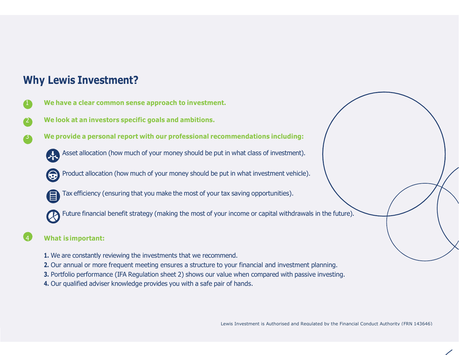## Why Lewis Investment?

- We have a clear common sense approach to investment.
- We look at an investors specific goals and ambitions.
- 3 We provide a personal report with our professional recommendations including:
	- Asset allocation (how much of your money should be put in what class of investment).
	- Product allocation (how much of your money should be put in what investment vehicle).
	- - Tax efficiency (ensuring that you make the most of your tax saving opportunities).
	- Future financial benefit strategy (making the most of your income or capital withdrawals in the future).

### What is important:

- 1. We are constantly reviewing the investments that we recommend.
- 2. Our annual or more frequent meeting ensures a structure to your financial and investment planning.
- 3. Portfolio performance (IFA Regulation sheet 2) shows our value when compared with passive investing.
- 4. Our qualified adviser knowledge provides you with a safe pair of hands.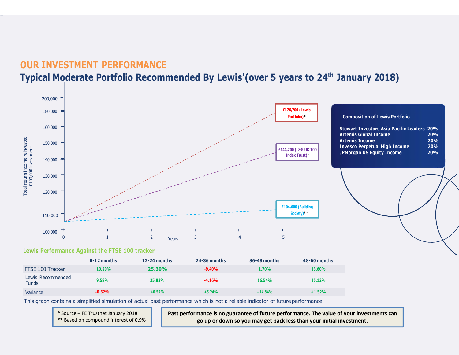### OUR INVESTMENT PERFORMANCE Typical Moderate Portfolio Recommended By Lewis' (over 5 years to 24<sup>th</sup> January 2018)



#### Lewis Performance Against the FTSE 100 tracker

|                                   | 0-12 months | $12-24$ months | 24-36 months | 36-48 months | 48-60 months |
|-----------------------------------|-------------|----------------|--------------|--------------|--------------|
| FTSE 100 Tracker                  | 10.20%      | 25.30%         | $-9.40%$     | 1.70%        | 13.60%       |
| Lewis Recommended<br><b>Funds</b> | 9.58%       | 25.82%         | $-4.16%$     | 16.54%       | 15.12%       |
| Variance                          | $-0.62%$    | $+0.52%$       | $+5.24%$     | $+14.84%$    | $+1.52%$     |

This graph contains a simplified simulation of actual past performance which is not a reliable indicator of future performance.

\* Source – FE Trustnet January 2018

\*\* Based on compound interest of 0.9%

Past performance is no guarantee of future performance. The value of your investments can go up or down so you may get back less than your initial investment.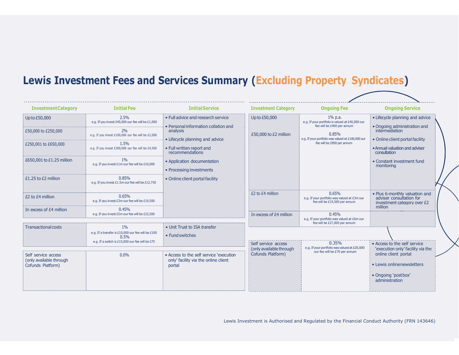# Lewis Investment Fees and Services Summary (Excluding Property Syndicates)

| <b>InvestmentCategory</b>                                           | <b>Initial Fee</b>                                                                                                     | <b>Initial Service</b>                                                                    | <b>Investment Category</b>                     | <b>Ongoing Fee</b>                                                                          | <b>Ongoing Service</b>                                                                               |
|---------------------------------------------------------------------|------------------------------------------------------------------------------------------------------------------------|-------------------------------------------------------------------------------------------|------------------------------------------------|---------------------------------------------------------------------------------------------|------------------------------------------------------------------------------------------------------|
| Up to £50,000                                                       | 2.5%<br>e.q. If you invest £40,000 our fee will be £1,000                                                              | • Full advice and research service<br>• Personal information collation and                | Up to £50,000<br>£50,000 to £2 million         | $1\%$ p.a.<br>e.g. If your portfolio is valued at £40,000 our<br>fee will be £400 per annum | • Lifecycle planning and advice<br>• Ongoing administration and                                      |
| £50,000 to £250,000                                                 | 2%<br>e.g. If you invest £100,000 our fee will be £2,000                                                               | analysis<br>• Lifecycle planning and advice                                               |                                                | 0.85%<br>e.g. If your portfolio was valued at £100,000 our<br>fee will be £850 per annum    | intermediation<br>• Online client portal facility                                                    |
| £250,001 to £650,000                                                | 1.5%<br>e.g. If you invest £300,000 our fee will be £4,500                                                             | • Full written report and<br>recommendations                                              |                                                |                                                                                             | • Annual valuation and adviser<br>consultation                                                       |
| £650,001 to £1.25 million                                           | $1\%$<br>e.g. If you invest £1m our fee will be £10,000                                                                | • Application documentation<br>• Processing investments                                   |                                                |                                                                                             | • Constant investment fund<br>monitoring                                                             |
| £1.25 to £2 million                                                 | 0.85%<br>e.g. If you invest £1.5m our fee will be £12,750                                                              | • Online client portal facility                                                           |                                                |                                                                                             |                                                                                                      |
| £2 to £4 million                                                    | 0.65%<br>e.g. If you invest £3m our fee will be £19,500                                                                |                                                                                           | £2 to £4 million                               | 0.65%<br>e.g. If your portfolio was valued at £3m our<br>fee will be £19,500 per annum      | . Plus 6-monthly valuation and<br>adviser consultation for<br>investment category over £2<br>million |
| In excess of £4 million                                             | 0.45%<br>e.g. If you invest £5m our fee will be £22,500                                                                |                                                                                           | In excess of £4 million                        | 0.45%<br>e.g. If your portfolio was valued at £6m our                                       |                                                                                                      |
| <b>Transactional costs</b>                                          | $1\%$<br>e.g. If a transfer is £10,000 our fee will be £100<br>0.5%<br>e.g. If a switch is £15,000 our fee will be £75 | • Unit Trust to ISA transfer<br>• Fund switches                                           | fee will be £27,000 per annum                  |                                                                                             |                                                                                                      |
|                                                                     |                                                                                                                        |                                                                                           | Self service access<br>(only available through | 0.35%<br>e.g. If your portfolio was valued at £20,000                                       | Access to the self service<br>'execution only' facility via the                                      |
| Self service access<br>(only available through<br>Cofunds Platform) | 0.0%                                                                                                                   | • Access to the self service 'execution<br>only' facility via the online client<br>portal | Cofunds Platform)                              | our fee will be £70 per annum                                                               | online client portal<br>• Lewis onlinenewsletters                                                    |
|                                                                     |                                                                                                                        |                                                                                           |                                                |                                                                                             | • Ongoing 'postbox'<br>administration                                                                |
|                                                                     |                                                                                                                        |                                                                                           |                                                |                                                                                             |                                                                                                      |

Lewis Investment is Authorised and Regulated by the Financial Conduct Authority (FRN 143646)